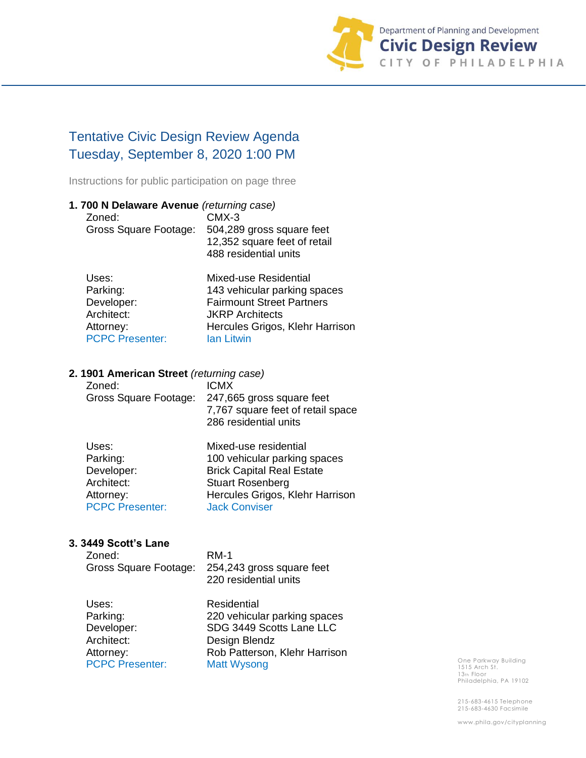

# Tentative Civic Design Review Agenda Tuesday, September 8, 2020 1:00 PM

Instructions for public participation on page three

| 1.700 N Delaware Avenue (returning case) |                                  |
|------------------------------------------|----------------------------------|
| Zoned:                                   | $CMX-3$                          |
| Gross Square Footage:                    | 504,289 gross square feet        |
|                                          | 12,352 square feet of retail     |
|                                          | 488 residential units            |
| Uses:                                    | <b>Mixed-use Residential</b>     |
| Parking:                                 | 143 vehicular parking spaces     |
| Developer:                               | <b>Fairmount Street Partners</b> |
| Architect:                               | <b>JKRP</b> Architects           |
| Attorney:                                | Hercules Grigos, Klehr Harrison  |

### **2. 1901 American Street** *(returning case)*

PCPC Presenter: Ian Litwin

| Zoned:                | <b>ICMX</b>                                                |
|-----------------------|------------------------------------------------------------|
| Gross Square Footage: | 247,665 gross square feet                                  |
|                       | 7,767 square feet of retail space<br>286 residential units |
|                       |                                                            |

| Uses:                  | Mixed-use residential            |
|------------------------|----------------------------------|
| Parking:               | 100 vehicular parking spaces     |
| Developer:             | <b>Brick Capital Real Estate</b> |
| Architect:             | <b>Stuart Rosenberg</b>          |
| Attorney:              | Hercules Grigos, Klehr Harrison  |
| <b>PCPC Presenter:</b> | <b>Jack Conviser</b>             |

#### **3. 3449 Scott's Lane**

| Zoned:<br>Gross Square Footage:                                                      | $RM-1$<br>254,243 gross square feet<br>220 residential units                                                                                    |
|--------------------------------------------------------------------------------------|-------------------------------------------------------------------------------------------------------------------------------------------------|
| Uses:<br>Parking:<br>Developer:<br>Architect:<br>Attorney:<br><b>PCPC Presenter:</b> | Residential<br>220 vehicular parking spaces<br>SDG 3449 Scotts Lane LLC<br>Design Blendz<br>Rob Patterson, Klehr Harrison<br><b>Matt Wysong</b> |

One Parkway Building 1515 Arch St. 13th Floor Philadelphia, PA 19102

215-683-4615 Telephone 215-683-4630 Facsimile

www.phila.gov/cityplanning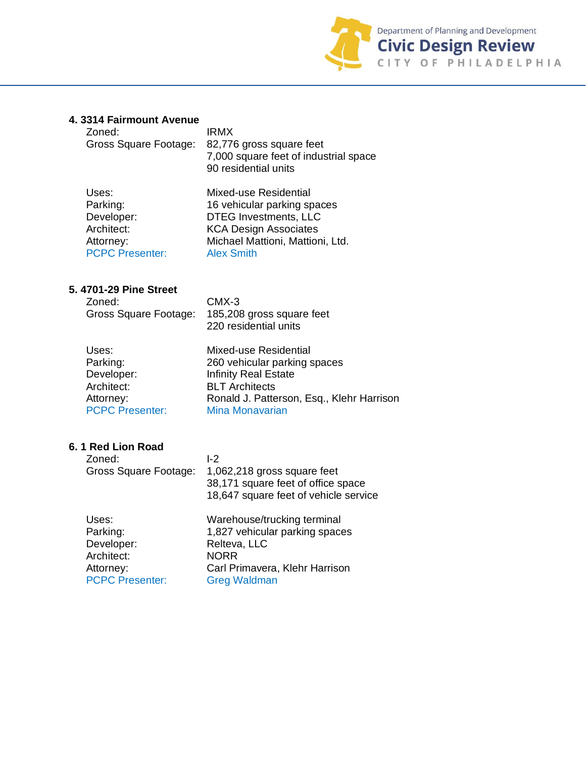

## **4. 3314 Fairmount Avenue**

| Zoned:<br>Gross Square Footage:                                                      | <b>IRMX</b><br>82,776 gross square feet<br>7,000 square feet of industrial space<br>90 residential units                                                                             |
|--------------------------------------------------------------------------------------|--------------------------------------------------------------------------------------------------------------------------------------------------------------------------------------|
| Uses:<br>Parking:<br>Developer:<br>Architect:<br>Attorney:<br><b>PCPC Presenter:</b> | <b>Mixed-use Residential</b><br>16 vehicular parking spaces<br><b>DTEG Investments, LLC</b><br><b>KCA Design Associates</b><br>Michael Mattioni, Mattioni, Ltd.<br><b>Alex Smith</b> |
| 5. 4701-29 Pine Street<br>Zoned:<br>Gross Square Footage:                            | $CMX-3$<br>185,208 gross square feet<br>220 residential units                                                                                                                        |
| Uses:<br>Parking:<br>Developer:<br>Architect:<br>Attorney:<br><b>PCPC Presenter:</b> | Mixed-use Residential<br>260 vehicular parking spaces<br><b>Infinity Real Estate</b><br><b>BLT</b> Architects<br>Ronald J. Patterson, Esq., Klehr Harrison<br><b>Mina Monavarian</b> |
| 6.1 Red Lion Road<br>Zoned:<br>Gross Square Footage:                                 | $I-2$<br>1,062,218 gross square feet<br>38,171 square feet of office space<br>18,647 square feet of vehicle service                                                                  |
| Uses:<br>Parking:<br>Developer:<br>Architect:<br>Attorney:<br><b>PCPC Presenter:</b> | Warehouse/trucking terminal<br>1,827 vehicular parking spaces<br>Relteva, LLC<br><b>NORR</b><br>Carl Primavera, Klehr Harrison<br><b>Greg Waldman</b>                                |